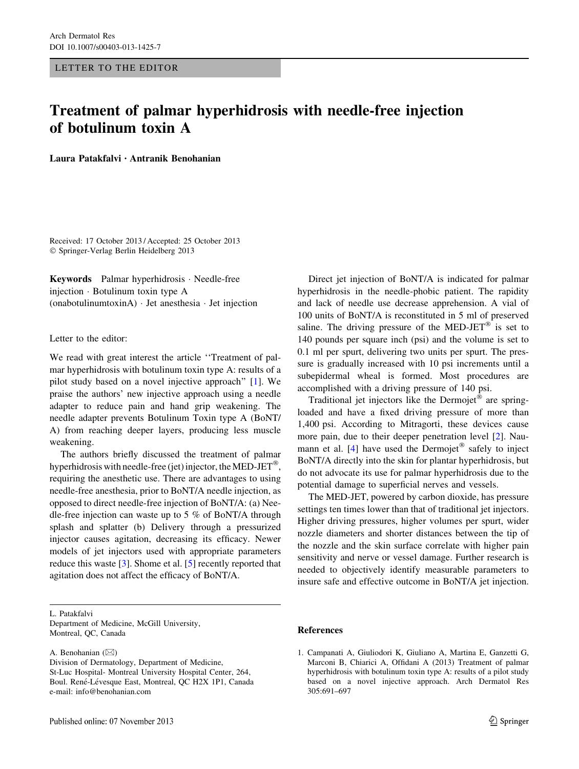## Treatment of palmar hyperhidrosis with needle-free injection of botulinum toxin A

Laura Patakfalvi • Antranik Benohanian

Received: 17 October 2013 / Accepted: 25 October 2013 - Springer-Verlag Berlin Heidelberg 2013

Keywords Palmar hyperhidrosis - Needle-free injection - Botulinum toxin type A (onabotulinumtoxinA) - Jet anesthesia - Jet injection

## Letter to the editor:

We read with great interest the article ''Treatment of palmar hyperhidrosis with botulinum toxin type A: results of a pilot study based on a novel injective approach'' [1]. We praise the authors' new injective approach using a needle adapter to reduce pain and hand grip weakening. The needle adapter prevents Botulinum Toxin type A (BoNT/ A) from reaching deeper layers, producing less muscle weakening.

The authors briefly discussed the treatment of palmar hyperhidrosis with needle-free (jet) injector, the MED-JET®, requiring the anesthetic use. There are advantages to using needle-free anesthesia, prior to BoNT/A needle injection, as opposed to direct needle-free injection of BoNT/A: (a) Needle-free injection can waste up to 5 % of BoNT/A through splash and splatter (b) Delivery through a pressurized injector causes agitation, decreasing its efficacy. Newer models of jet injectors used with appropriate parameters reduce this waste [\[3](#page-1-0)]. Shome et al. [\[5](#page-1-0)] recently reported that agitation does not affect the efficacy of BoNT/A.

L. Patakfalvi

Department of Medicine, McGill University, Montreal, QC, Canada

A. Benohanian  $(\boxtimes)$ 

Direct jet injection of BoNT/A is indicated for palmar hyperhidrosis in the needle-phobic patient. The rapidity and lack of needle use decrease apprehension. A vial of 100 units of BoNT/A is reconstituted in 5 ml of preserved saline. The driving pressure of the MED-JET<sup>®</sup> is set to 140 pounds per square inch (psi) and the volume is set to 0.1 ml per spurt, delivering two units per spurt. The pressure is gradually increased with 10 psi increments until a subepidermal wheal is formed. Most procedures are accomplished with a driving pressure of 140 psi.

Traditional jet injectors like the Dermojet<sup>®</sup> are springloaded and have a fixed driving pressure of more than 1,400 psi. According to Mitragorti, these devices cause more pain, due to their deeper penetration level [[2\]](#page-1-0). Naumann et al.  $[4]$  $[4]$  have used the Dermojet® safely to inject BoNT/A directly into the skin for plantar hyperhidrosis, but do not advocate its use for palmar hyperhidrosis due to the potential damage to superficial nerves and vessels.

The MED-JET, powered by carbon dioxide, has pressure settings ten times lower than that of traditional jet injectors. Higher driving pressures, higher volumes per spurt, wider nozzle diameters and shorter distances between the tip of the nozzle and the skin surface correlate with higher pain sensitivity and nerve or vessel damage. Further research is needed to objectively identify measurable parameters to insure safe and effective outcome in BoNT/A jet injection.

## References

Division of Dermatology, Department of Medicine, St-Luc Hospital- Montreal University Hospital Center, 264, Boul. René-Lévesque East, Montreal, QC H2X 1P1, Canada e-mail: info@benohanian.com

<sup>1.</sup> Campanati A, Giuliodori K, Giuliano A, Martina E, Ganzetti G, Marconi B, Chiarici A, Offidani A (2013) Treatment of palmar hyperhidrosis with botulinum toxin type A: results of a pilot study based on a novel injective approach. Arch Dermatol Res 305:691–697